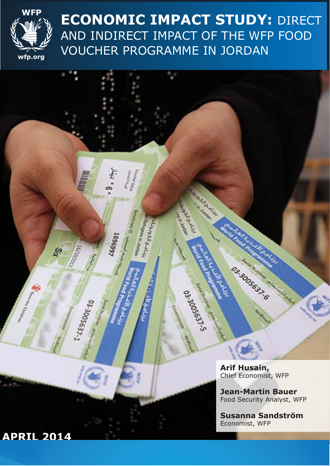

**ECONOMIC IMPACT STUDY:** DIRECT AND INDIRECT IMPACT OF THE WFP FOOD VOUCHER PROGRAMME IN JORDAN

> Letter La **SARACES**

Horse Loo

**Call Alla** 

63-30056-80

Control

**RESIDENCE DE CASAS REACTION CONTRACTOR** 

 $\mathfrak{g}_{*}$  if<br>y

1896952

 $\mathcal{G}$ 

033005637.1

**Arif Husain,**  Chief Economist, WFP

Os. 3005697.6

**CALL OF CALL ON** 

**Jean-Martin Bauer** Food Security Analyst, WFP

**Susanna Sandström**  Economist, WFP

# **APRIL 2014**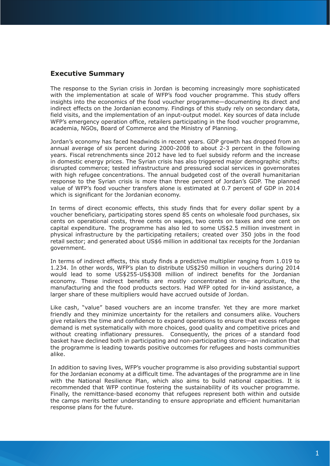### **Executive Summary**

The response to the Syrian crisis in Jordan is becoming increasingly more sophisticated with the implementation at scale of WFP's food voucher programme. This study offers insights into the economics of the food voucher programme—documenting its direct and indirect effects on the Jordanian economy. Findings of this study rely on secondary data, field visits, and the implementation of an input-output model. Key sources of data include WFP's emergency operation office, retailers participating in the food voucher programme, academia, NGOs, Board of Commerce and the Ministry of Planning.

Jordan's economy has faced headwinds in recent years. GDP growth has dropped from an annual average of six percent during 2000-2008 to about 2-3 percent in the following years. Fiscal retrenchments since 2012 have led to fuel subsidy reform and the increase in domestic energy prices. The Syrian crisis has also triggered major demographic shifts; disrupted commerce; tested infrastructure and pressured social services in governorates with high refugee concentrations. The annual budgeted cost of the overall humanitarian response to the Syrian crisis is more than three percent of Jordan's GDP. The planned value of WFP's food voucher transfers alone is estimated at 0.7 percent of GDP in 2014 which is significant for the Jordanian economy.

In terms of direct economic effects, this study finds that for every dollar spent by a voucher beneficiary, participating stores spend 85 cents on wholesale food purchases, six cents on operational costs, three cents on wages, two cents on taxes and one cent on capital expenditure. The programme has also led to some US\$2.5 million investment in physical infrastructure by the participating retailers; created over 350 jobs in the food retail sector; and generated about US\$6 million in additional tax receipts for the Jordanian government.

In terms of indirect effects, this study finds a predictive multiplier ranging from 1.019 to 1.234. In other words, WFP's plan to distribute US\$250 million in vouchers during 2014 would lead to some US\$255-US\$308 million of indirect benefits for the Jordanian economy. These indirect benefits are mostly concentrated in the agriculture, the manufacturing and the food products sectors. Had WFP opted for in-kind assistance, a larger share of these multipliers would have accrued outside of Jordan.

Like cash, "value" based vouchers are an income transfer. Yet they are more market friendly and they minimize uncertainty for the retailers and consumers alike. Vouchers give retailers the time and confidence to expand operations to ensure that excess refugee demand is met systematically with more choices, good quality and competitive prices and without creating inflationary pressures. Consequently, the prices of a standard food basket have declined both in participating and non-participating stores—an indication that the programme is leading towards positive outcomes for refugees and hosts communities alike.

In addition to saving lives, WFP's voucher programme is also providing substantial support for the Jordanian economy at a difficult time. The advantages of the programme are in line with the National Resilience Plan, which also aims to build national capacities. It is recommended that WFP continue fostering the sustainability of its voucher programme. Finally, the remittance-based economy that refugees represent both within and outside the camps merits better understanding to ensure appropriate and efficient humanitarian response plans for the future.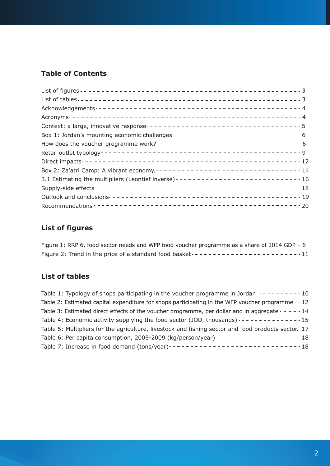# **Table of Contents**

| Context: a large, innovative response -----------------------------------5     |  |
|--------------------------------------------------------------------------------|--|
| Box 1: Jordan's mounting economic challenges ------------------------------- 6 |  |
| How does the voucher programme work? $--------------------------6$             |  |
|                                                                                |  |
|                                                                                |  |
|                                                                                |  |
|                                                                                |  |
|                                                                                |  |
|                                                                                |  |
|                                                                                |  |

# **List of figures**

Figure 1: RRP 6, food sector needs and WFP food voucher programme as a share of 2014 GDP - 6 Figure 2: Trend in the price of a standard food basket 11

# **List of tables**

| Table 1: Typology of shops participating in the voucher programme in Jordan $- - - - - - - - - 10$   |
|------------------------------------------------------------------------------------------------------|
| Table 2: Estimated capital expenditure for shops participating in the WFP voucher programme - - 12   |
| Table 3: Estimated direct effects of the voucher programme, per dollar and in aggregate $- - - - 14$ |
|                                                                                                      |
| Table 5: Multipliers for the agriculture, livestock and fishing sector and food products sector. 17  |
|                                                                                                      |
|                                                                                                      |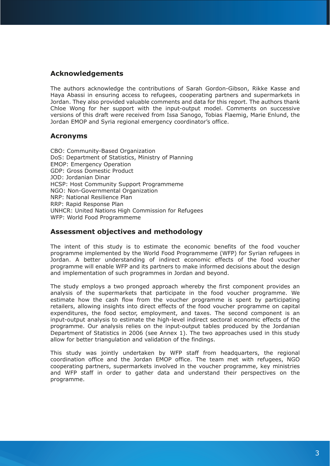# **Acknowledgements**

The authors acknowledge the contributions of Sarah Gordon-Gibson, Rikke Kasse and Haya Abassi in ensuring access to refugees, cooperating partners and supermarkets in Jordan. They also provided valuable comments and data for this report. The authors thank Chloe Wong for her support with the input-output model. Comments on successive versions of this draft were received from Issa Sanogo, Tobias Flaemig, Marie Enlund, the Jordan EMOP and Syria regional emergency coordinator's office.

# **Acronyms**

CBO: Community-Based Organization DoS: Department of Statistics, Ministry of Planning EMOP: Emergency Operation GDP: Gross Domestic Product JOD: Jordanian Dinar HCSP: Host Community Support Programmeme NGO: Non-Governmental Organization NRP: National Resilience Plan RRP: Rapid Response Plan UNHCR: United Nations High Commission for Refugees WFP: World Food Programmeme

### **Assessment objectives and methodology**

The intent of this study is to estimate the economic benefits of the food voucher programme implemented by the World Food Programmeme (WFP) for Syrian refugees in Jordan. A better understanding of indirect economic effects of the food voucher programme will enable WFP and its partners to make informed decisions about the design and implementation of such programmes in Jordan and beyond.

The study employs a two pronged approach whereby the first component provides an analysis of the supermarkets that participate in the food voucher programme. We estimate how the cash flow from the voucher programme is spent by participating retailers, allowing insights into direct effects of the food voucher programme on capital expenditures, the food sector, employment, and taxes. The second component is an input-output analysis to estimate the high-level indirect sectoral economic effects of the programme. Our analysis relies on the input-output tables produced by the Jordanian Department of Statistics in 2006 (see Annex 1). The two approaches used in this study allow for better triangulation and validation of the findings.

This study was jointly undertaken by WFP staff from headquarters, the regional coordination office and the Jordan EMOP office. The team met with refugees, NGO cooperating partners, supermarkets involved in the voucher programme, key ministries and WFP staff in order to gather data and understand their perspectives on the programme.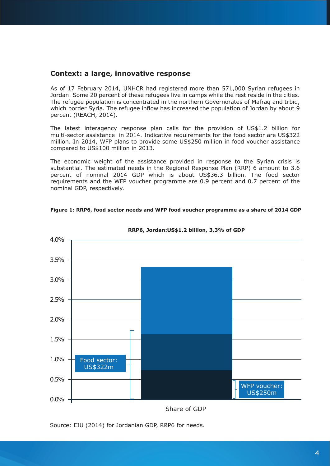#### **Context: a large, innovative response**

As of 17 February 2014, UNHCR had registered more than 571,000 Syrian refugees in Jordan. Some 20 percent of these refugees live in camps while the rest reside in the cities. The refugee population is concentrated in the northern Governorates of Mafraq and Irbid, which border Syria. The refugee inflow has increased the population of Jordan by about 9 percent (REACH, 2014).

The latest interagency response plan calls for the provision of US\$1.2 billion for multi-sector assistance in 2014. Indicative requirements for the food sector are US\$322 million. In 2014, WFP plans to provide some US\$250 million in food voucher assistance compared to US\$100 million in 2013.

The economic weight of the assistance provided in response to the Syrian crisis is substantial. The estimated needs in the Regional Response Plan (RRP) 6 amount to 3.6 percent of nominal 2014 GDP which is about US\$36.3 billion. The food sector requirements and the WFP voucher programme are 0.9 percent and 0.7 percent of the nominal GDP, respectively.





**RRP6, Jordan:US\$1.2 billion, 3.3% of GDP**

Share of GDP

Source: EIU (2014) for Jordanian GDP, RRP6 for needs.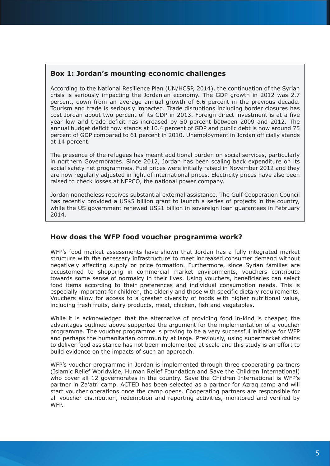# **Box 1: Jordan's mounting economic challenges**

According to the National Resilience Plan (UN/HCSP, 2014), the continuation of the Syrian crisis is seriously impacting the Jordanian economy. The GDP growth in 2012 was 2.7 percent, down from an average annual growth of 6.6 percent in the previous decade. Tourism and trade is seriously impacted. Trade disruptions including border closures has cost Jordan about two percent of its GDP in 2013. Foreign direct investment is at a five year low and trade deficit has increased by 50 percent between 2009 and 2012. The annual budget deficit now stands at 10.4 percent of GDP and public debt is now around 75 percent of GDP compared to 61 percent in 2010. Unemployment in Jordan officially stands at 14 percent.

The presence of the refugees has meant additional burden on social services, particularly in northern Governorates. Since 2012, Jordan has been scaling back expenditure on its social safety net programmes. Fuel prices were initially raised in November 2012 and they are now regularly adjusted in light of international prices. Electricity prices have also been raised to check losses at NEPCO, the national power company.

Jordan nonetheless receives substantial external assistance. The Gulf Cooperation Council has recently provided a US\$5 billion grant to launch a series of projects in the country, while the US government renewed US\$1 billion in sovereign loan guarantees in February 2014.

# **How does the WFP food voucher programme work?**

WFP's food market assessments have shown that Jordan has a fully integrated market structure with the necessary infrastructure to meet increased consumer demand without negatively affecting supply or price formation. Furthermore, since Syrian families are accustomed to shopping in commercial market environments, vouchers contribute towards some sense of normalcy in their lives. Using vouchers, beneficiaries can select food items according to their preferences and individual consumption needs. This is especially important for children, the elderly and those with specific dietary requirements. Vouchers allow for access to a greater diversity of foods with higher nutritional value, including fresh fruits, dairy products, meat, chicken, fish and vegetables.

While it is acknowledged that the alternative of providing food in-kind is cheaper, the advantages outlined above supported the argument for the implementation of a voucher programme. The voucher programme is proving to be a very successful initiative for WFP and perhaps the humanitarian community at large. Previously, using supermarket chains to deliver food assistance has not been implemented at scale and this study is an effort to build evidence on the impacts of such an approach.

WFP's voucher programme in Jordan is implemented through three cooperating partners (Islamic Relief Worldwide, Human Relief Foundation and Save the Children International) who cover all 12 governorates in the country. Save the Children International is WFP's partner in Za'atri camp. ACTED has been selected as a partner for Azraq camp and will start voucher operations once the camp opens. Cooperating partners are responsible for all voucher distribution, redemption and reporting activities, monitored and verified by WFP.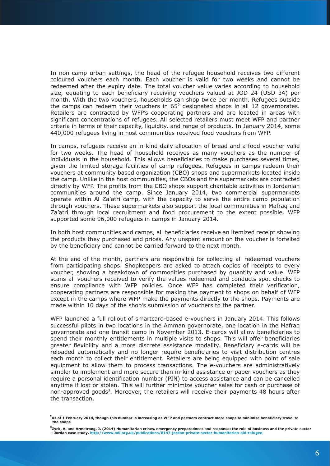In non-camp urban settings, the head of the refugee household receives two different coloured vouchers each month. Each voucher is valid for two weeks and cannot be redeemed after the expiry date. The total voucher value varies according to household size, equating to each beneficiary receiving vouchers valued at JOD 24 (USD 34) per month. With the two vouchers, households can shop twice per month. Refugees outside the camps can redeem their vouchers in  $65<sup>2</sup>$  designated shops in all 12 governorates. Retailers are contracted by WFP's cooperating partners and are located in areas with significant concentrations of refugees. All selected retailers must meet WFP and partner criteria in terms of their capacity, liquidity, and range of products. In January 2014, some 440,000 refugees living in host communities received food vouchers from WFP.

In camps, refugees receive an in-kind daily allocation of bread and a food voucher valid for two weeks. The head of household receives as many vouchers as the number of individuals in the household. This allows beneficiaries to make purchases several times, given the limited storage facilities of camp refugees. Refugees in camps redeem their vouchers at community based organization (CBO) shops and supermarkets located inside the camp. Unlike in the host communities, the CBOs and the supermarkets are contracted directly by WFP. The profits from the CBO shops support charitable activities in Jordanian communities around the camp. Since January 2014, two commercial supermarkets operate within Al Za'atri camp, with the capacity to serve the entire camp population through vouchers. These supermarkets also support the local communities in Mafraq and Za'atri through local recruitment and food procurement to the extent possible. WFP supported some 96,000 refugees in camps in January 2014.

In both host communities and camps, all beneficiaries receive an itemized receipt showing the products they purchased and prices. Any unspent amount on the voucher is forfeited by the beneficiary and cannot be carried forward to the next month.

At the end of the month, partners are responsible for collecting all redeemed vouchers from participating shops. Shopkeepers are asked to attach copies of receipts to every voucher, showing a breakdown of commodities purchased by quantity and value. WFP scans all vouchers received to verify the values redeemed and conducts spot checks to ensure compliance with WFP policies. Once WFP has completed their verification, cooperating partners are responsible for making the payment to shops on behalf of WFP except in the camps where WFP make the payments directly to the shops. Payments are made within 10 days of the shop's submission of vouchers to the partner.

WFP launched a full rollout of smartcard-based e-vouchers in January 2014. This follows successful pilots in two locations in the Amman governorate, one location in the Mafraq governorate and one transit camp in November 2013. E-cards will allow beneficiaries to spend their monthly entitlements in multiple visits to shops. This will offer beneficiaries greater flexibility and a more discrete assistance modality. Beneficiary e-cards will be reloaded automatically and no longer require beneficiaries to visit distribution centres each month to collect their entitlement. Retailers are being equipped with point of sale equipment to allow them to process transactions. The e-vouchers are administratively simpler to implement and more secure than in-kind assistance or paper vouchers as they require a personal identification number (PIN) to access assistance and can be cancelled anytime if lost or stolen. This will further minimize voucher sales for cash or purchase of non-approved goods<sup>3</sup>. Moreover, the retailers will receive their payments 48 hours after the transaction.

**<sup>2</sup> As of 1 February 2014, though this number is increasing as WFP and partners contract more shops to minimise beneficiary travel to the shops**

**<sup>3</sup> Zyck, A. and Armstrong, J. (2014) Humanitarian crises, emergency preparedness and response: the role of business and the private sector - Jordan case study. http://www.odi.org.uk/publications/8147-jordan-private-sector-humanitarian-aid-refugee**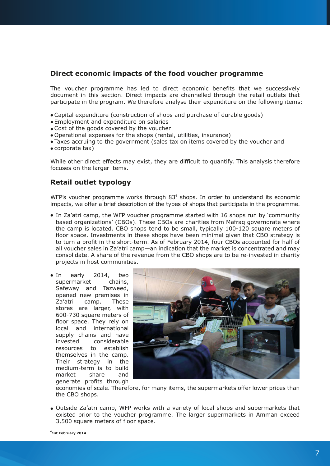# **Direct economic impacts of the food voucher programme**

The voucher programme has led to direct economic benefits that we successively document in this section. Direct impacts are channelled through the retail outlets that participate in the program. We therefore analyse their expenditure on the following items:

- Capital expenditure (construction of shops and purchase of durable goods)
- Employment and expenditure on salaries
- Cost of the goods covered by the voucher
- Operational expenses for the shops (rental, utilities, insurance)
- Taxes accruing to the government (sales tax on items covered by the voucher and
- corporate tax)

While other direct effects may exist, they are difficult to quantify. This analysis therefore focuses on the larger items.

# **Retail outlet typology**

WFP's voucher programme works through 83<sup>4</sup> shops. In order to understand its economic impacts, we offer a brief description of the types of shops that participate in the programme.

- In Za'atri camp, the WFP voucher programme started with 16 shops run by 'community based organizations' (CBOs). These CBOs are charities from Mafraq governorate where the camp is located. CBO shops tend to be small, typically 100-120 square meters of floor space. Investments in these shops have been minimal given that CBO strategy is to turn a profit in the short-term. As of February 2014, four CBOs accounted for half of all voucher sales in Za'atri camp—an indication that the market is concentrated and may consolidate. A share of the revenue from the CBO shops are to be re-invested in charity projects in host communities.
- In early 2014, two supermarket chains, Safeway and Tazweed, opened new premises in Za'atri camp. These stores are larger, with 600-730 square meters of floor space. They rely on local and international supply chains and have invested considerable resources to establish themselves in the camp. Their strategy in the medium-term is to build market share and generate profits through



economies of scale. Therefore, for many items, the supermarkets offer lower prices than the CBO shops.

Outside Za'atri camp, WFP works with a variety of local shops and supermarkets that existed prior to the voucher programme. The larger supermarkets in Amman exceed 3,500 square meters of floor space.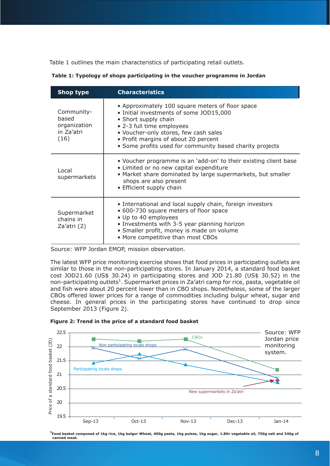Table 1 outlines the main characteristics of participating retail outlets.

| Shop type                                                 | <b>Characteristics</b>                                                                                                                                                                                                                                                                        |
|-----------------------------------------------------------|-----------------------------------------------------------------------------------------------------------------------------------------------------------------------------------------------------------------------------------------------------------------------------------------------|
| Community-<br>based<br>organization<br>in Za'atri<br>(16) | • Approximately 100 square meters of floor space<br>• Initial investments of some JOD15,000<br>• Short supply chain<br>• 2-3 full time employees<br>• Voucher-only stores, few cash sales<br>• Profit margins of about 20 percent<br>• Some profits used for community based charity projects |
| Local<br>supermarkets                                     | • Voucher programme is an 'add-on' to their existing client base<br>• Limited or no new capital expenditure<br>• Market share dominated by large supermarkets, but smaller<br>shops are also present<br>• Efficient supply chain                                                              |
| Supermarket<br>chains in<br>Za'atri (2)                   | • International and local supply chain, foreign investors<br>• 600-730 square meters of floor space<br>• Up to 40 employees<br>• Investments with 3-5 year planning horizon<br>• Smaller profit, money is made on volume<br>• More competitive than most CBOs                                 |

| Table 1: Typology of shops participating in the voucher programme in Jordan |  |  |
|-----------------------------------------------------------------------------|--|--|
|-----------------------------------------------------------------------------|--|--|

Source: WFP Jordan EMOP, mission observation.

The latest WFP price monitoring exercise shows that food prices in participating outlets are similar to those in the non-participating stores. In January 2014, a standard food basket cost JOD21.60 (US\$ 30.24) in participating stores and JOD 21.80 (US\$ 30.52) in the non-participating outlets<sup>5</sup>. Supermarket prices in Za'atri camp for rice, pasta, vegetable oil and fish were about 20 percent lower than in CBO shops. Nonetheless, some of the larger CBOs offered lower prices for a range of commodities including bulgur wheat, sugar and cheese. In general prices in the participating stores have continued to drop since September 2013 (Figure 2).





**5 Food basket composed of 1kg rice, 1kg bulgur Wheat, 400g pasta, 1kg pulses, 1kg sugar, 1.8ltr vegetable oil, 750g salt and 340g of canned meat.**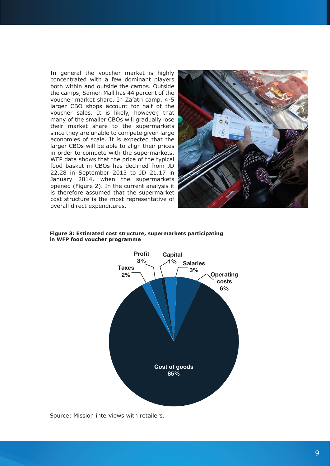In general the voucher market is highly concentrated with a few dominant players both within and outside the camps. Outside the camps, Sameh Mall has 44 percent of the voucher market share. In Za'atri camp, 4-5 larger CBO shops account for half of the voucher sales. It is likely, however, that many of the smaller CBOs will gradually lose their market share to the supermarkets since they are unable to compete given large economies of scale. It is expected that the larger CBOs will be able to align their prices in order to compete with the supermarkets. WFP data shows that the price of the typical food basket in CBOs has declined from JD 22.28 in September 2013 to JD 21.17 in January 2014, when the supermarkets opened (Figure 2). In the current analysis it is therefore assumed that the supermarket cost structure is the most representative of overall direct expenditures.



#### **Figure 3: Estimated cost structure, supermarkets participating in WFP food voucher programme**



Source: Mission interviews with retailers.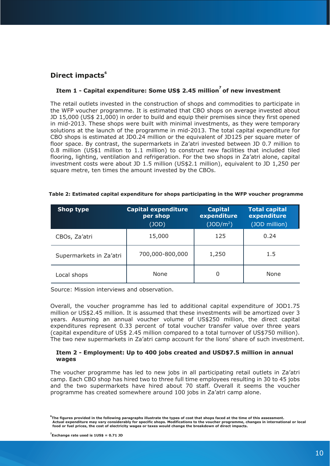# **Direct impacts**<sup>6</sup>

# **Item 1 - Capital expenditure: Some US\$ 2.45 million7 of new investment**

The retail outlets invested in the construction of shops and commodities to participate in the WFP voucher programme. It is estimated that CBO shops on average invested about JD 15,000 (US\$ 21,000) in order to build and equip their premises since they first opened in mid-2013. These shops were built with minimal investments, as they were temporary solutions at the launch of the programme in mid-2013. The total capital expenditure for CBO shops is estimated at JD0.24 million or the equivalent of JD125 per square meter of floor space. By contrast, the supermarkets in Za'atri invested between JD 0.7 million to 0.8 million (US\$1 million to 1.1 million) to construct new facilities that included tiled flooring, lighting, ventilation and refrigeration. For the two shops in Za'atri alone, capital investment costs were about JD 1.5 million (US\$2.1 million), equivalent to JD 1,250 per square metre, ten times the amount invested by the CBOs.

| Shop type               | <b>Capital expenditure</b><br>per shop<br>(JOD) | <b>Capital</b><br>expenditure<br>(JDD/m <sup>2</sup> ) | <b>Total capital</b><br>expenditure<br>(JOD million) |
|-------------------------|-------------------------------------------------|--------------------------------------------------------|------------------------------------------------------|
| CBOs, Za'atri           | 15,000                                          | 125                                                    | 0.24                                                 |
| Supermarkets in Za'atri | 700,000-800,000                                 | 1,250                                                  | 1.5                                                  |
| Local shops             | None                                            | 0                                                      | None                                                 |

#### **Table 2: Estimated capital expenditure for shops participating in the WFP voucher programme**

Source: Mission interviews and observation.

Overall, the voucher programme has led to additional capital expenditure of JOD1.75 million or US\$2.45 million. It is assumed that these investments will be amortized over 3 years. Assuming an annual voucher volume of US\$250 million, the direct capital expenditures represent 0.33 percent of total voucher transfer value over three years (capital expenditure of US\$ 2.45 million compared to a total turnover of US\$750 million). The two new supermarkets in Za'atri camp account for the lions' share of such investment.

#### **Item 2 - Employment: Up to 400 jobs created and USD\$7.5 million in annual wages**

The voucher programme has led to new jobs in all participating retail outlets in Za'atri camp. Each CBO shop has hired two to three full time employees resulting in 30 to 45 jobs and the two supermarkets have hired about 70 staff. Overall it seems the voucher programme has created somewhere around 100 jobs in Za'atri camp alone.

**<sup>6</sup> The figures provided in the following paragraphs illustrate the types of cost that shops faced at the time of this assessment.** Actual expenditure may vary considerably for specific shops. Modifications to the voucher programme, changes in international or local<br>food or fuel prices, the cost of electricity wages or taxes would change the breakdown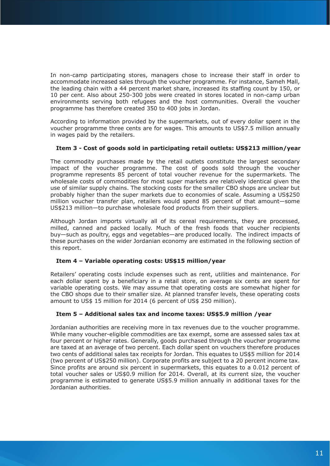In non-camp participating stores, managers chose to increase their staff in order to accommodate increased sales through the voucher programme. For instance, Sameh Mall, the leading chain with a 44 percent market share, increased its staffing count by 150, or 10 per cent. Also about 250-300 jobs were created in stores located in non-camp urban environments serving both refugees and the host communities. Overall the voucher programme has therefore created 350 to 400 jobs in Jordan.

According to information provided by the supermarkets, out of every dollar spent in the voucher programme three cents are for wages. This amounts to US\$7.5 million annually in wages paid by the retailers.

#### **Item 3 - Cost of goods sold in participating retail outlets: US\$213 million/year**

The commodity purchases made by the retail outlets constitute the largest secondary impact of the voucher programme. The cost of goods sold through the voucher programme represents 85 percent of total voucher revenue for the supermarkets. The wholesale costs of commodities for most super markets are relatively identical given the use of similar supply chains. The stocking costs for the smaller CBO shops are unclear but probably higher than the super markets due to economies of scale. Assuming a US\$250 million voucher transfer plan, retailers would spend 85 percent of that amount—some US\$213 million—to purchase wholesale food products from their suppliers.

Although Jordan imports virtually all of its cereal requirements, they are processed, milled, canned and packed locally. Much of the fresh foods that voucher recipients buy—such as poultry, eggs and vegetables—are produced locally. The indirect impacts of these purchases on the wider Jordanian economy are estimated in the following section of this report.

#### **Item 4 – Variable operating costs: US\$15 million/year**

Retailers' operating costs include expenses such as rent, utilities and maintenance. For each dollar spent by a beneficiary in a retail store, on average six cents are spent for variable operating costs. We may assume that operating costs are somewhat higher for the CBO shops due to their smaller size. At planned transfer levels, these operating costs amount to US\$ 15 million for 2014 (6 percent of US\$ 250 million).

### **Item 5 – Additional sales tax and income taxes: US\$5.9 million /year**

Jordanian authorities are receiving more in tax revenues due to the voucher programme. While many voucher-eligible commodities are tax exempt, some are assessed sales tax at four percent or higher rates. Generally, goods purchased through the voucher programme are taxed at an average of two percent. Each dollar spent on vouchers therefore produces two cents of additional sales tax receipts for Jordan. This equates to US\$5 million for 2014 (two percent of US\$250 million). Corporate profits are subject to a 20 percent income tax. Since profits are around six percent in supermarkets, this equates to a 0.012 percent of total voucher sales or US\$0.9 million for 2014. Overall, at its current size, the voucher programme is estimated to generate US\$5.9 million annually in additional taxes for the Jordanian authorities.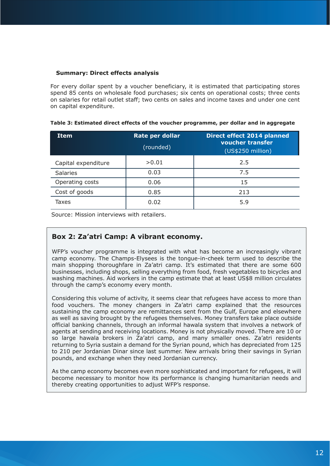#### **Summary: Direct effects analysis**

For every dollar spent by a voucher beneficiary, it is estimated that participating stores spend 85 cents on wholesale food purchases; six cents on operational costs; three cents on salaries for retail outlet staff; two cents on sales and income taxes and under one cent on capital expenditure.

| <b>Item</b>         | Rate per dollar<br>(rounded) | <b>Direct effect 2014 planned</b><br>voucher transfer<br>(US\$250 million) |
|---------------------|------------------------------|----------------------------------------------------------------------------|
| Capital expenditure | >0.01                        | 2.5                                                                        |
| <b>Salaries</b>     | 0.03                         | 7.5                                                                        |
| Operating costs     | 0.06                         | 15                                                                         |
| Cost of goods       | 0.85                         | 213                                                                        |
| Taxes               | 0.02                         | 5.9                                                                        |

**Table 3: Estimated direct effects of the voucher programme, per dollar and in aggregate**

Source: Mission interviews with retailers.

# **Box 2: Za'atri Camp: A vibrant economy.**

WFP's voucher programme is integrated with what has become an increasingly vibrant camp economy. The Champs-Elysees is the tongue-in-cheek term used to describe the main shopping thoroughfare in Za'atri camp. It's estimated that there are some 600 businesses, including shops, selling everything from food, fresh vegetables to bicycles and washing machines. Aid workers in the camp estimate that at least US\$8 million circulates through the camp's economy every month.

Considering this volume of activity, it seems clear that refugees have access to more than food vouchers. The money changers in Za'atri camp explained that the resources sustaining the camp economy are remittances sent from the Gulf, Europe and elsewhere as well as saving brought by the refugees themselves. Money transfers take place outside official banking channels, through an informal hawala system that involves a network of agents at sending and receiving locations. Money is not physically moved. There are 10 or so large hawala brokers in Za'atri camp, and many smaller ones. Za'atri residents returning to Syria sustain a demand for the Syrian pound, which has depreciated from 125 to 210 per Jordanian Dinar since last summer. New arrivals bring their savings in Syrian pounds, and exchange when they need Jordanian currency.

As the camp economy becomes even more sophisticated and important for refugees, it will become necessary to monitor how its performance is changing humanitarian needs and thereby creating opportunities to adjust WFP's response.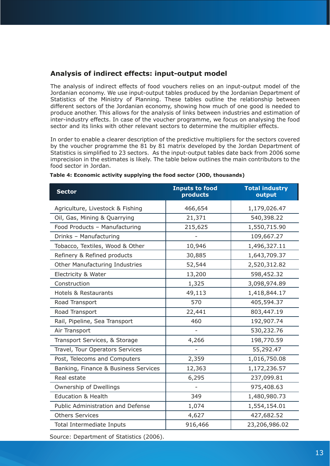# **Analysis of indirect effects: input-output model**

The analysis of indirect effects of food vouchers relies on an input-output model of the Jordanian economy. We use input-output tables produced by the Jordanian Department of Statistics of the Ministry of Planning. These tables outline the relationship between different sectors of the Jordanian economy, showing how much of one good is needed to produce another. This allows for the analysis of links between industries and estimation of inter-industry effects. In case of the voucher programme, we focus on analysing the food sector and its links with other relevant sectors to determine the multiplier effects.

In order to enable a clearer description of the predictive multipliers for the sectors covered by the voucher programme the 81 by 81 matrix developed by the Jordan Department of Statistics is simplified to 23 sectors. As the input-output tables date back from 2006 some imprecision in the estimates is likely. The table below outlines the main contributors to the food sector in Jordan.

| <b>Sector</b>                        | <b>Inputs to food</b><br>products | <b>Total industry</b><br>output |
|--------------------------------------|-----------------------------------|---------------------------------|
| Agriculture, Livestock & Fishing     | 466,654                           | 1,179,026.47                    |
| Oil, Gas, Mining & Quarrying         | 21,371                            | 540,398.22                      |
| Food Products - Manufacturing        | 215,625                           | 1,550,715.90                    |
| Drinks - Manufacturing               |                                   | 109,667.27                      |
| Tobacco, Textiles, Wood & Other      | 10,946                            | 1,496,327.11                    |
| Refinery & Refined products          | 30,885                            | 1,643,709.37                    |
| Other Manufacturing Industries       | 52,544                            | 2,520,312.82                    |
| Electricity & Water                  | 13,200                            | 598,452.32                      |
| Construction                         | 1,325                             | 3,098,974.89                    |
| <b>Hotels &amp; Restaurants</b>      | 49,113                            | 1,418,844.17                    |
| Road Transport                       | 570                               | 405,594.37                      |
| Road Transport                       | 22,441                            | 803,447.19                      |
| Rail, Pipeline, Sea Transport        | 460                               | 192,907.74                      |
| Air Transport                        |                                   | 530,232.76                      |
| Transport Services, & Storage        | 4,266                             | 198,770.59                      |
| Travel, Tour Operators Services      |                                   | 55,292.47                       |
| Post, Telecoms and Computers         | 2,359                             | 1,016,750.08                    |
| Banking, Finance & Business Services | 12,363                            | 1,172,236.57                    |
| Real estate                          | 6,295                             | 237,099.81                      |
| Ownership of Dwellings               |                                   | 975,408.63                      |
| <b>Education &amp; Health</b>        | 349                               | 1,480,980.73                    |
| Public Administration and Defense    | 1,074                             | 1,554,154.01                    |
| <b>Others Services</b>               | 4,627                             | 427,682.52                      |
| Total Intermediate Inputs            | 916,466                           | 23,206,986.02                   |

#### **Table 4: Economic activity supplying the food sector (JOD, thousands)**

Source: Department of Statistics (2006).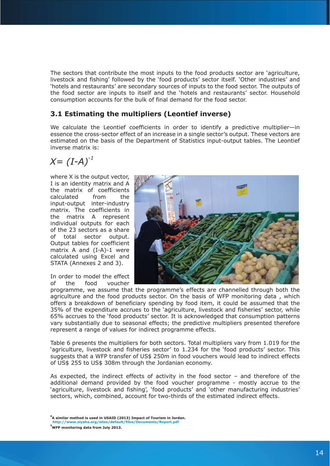The sectors that contribute the most inputs to the food products sector are 'agriculture, livestock and fishing' followed by the 'food products' sector itself. 'Other industries' and 'hotels and restaurants' are secondary sources of inputs to the food sector. The outputs of the food sector are inputs to itself and the 'hotels and restaurants' sector. Household consumption accounts for the bulk of final demand for the food sector.

# **3.1 Estimating the multipliers (Leontief inverse)**

We calculate the Leontief coefficients in order to identify a predictive multiplier—in essence the cross-sector effect of an increase in a single sector's output. These vectors are estimated on the basis of the Department of Statistics input-output tables. The Leontief inverse matrix is:

$$
X=(I-A)^{-1}
$$

where X is the output vector, I is an identity matrix and A the matrix of coefficients calculated from the input-output inter-industry matrix. The coefficients in the matrix A represent individual outputs for each of the 23 sectors as a share of total sector output. Output tables for coefficient matrix A and (I-A)-1 were calculated using Excel and STATA (Annexes 2 and 3).

In order to model the effect of the food voucher



programme, we assume that the programme's effects are channelled through both the agriculture and the food products sector. On the basis of WFP monitoring data , which offers a breakdown of beneficiary spending by food item, it could be assumed that the 35% of the expenditure accrues to the 'agriculture, livestock and fisheries' sector, while 65% accrues to the 'food products' sector. It is acknowledged that consumption patterns vary substantially due to seasonal effects; the predictive multipliers presented therefore represent a range of values for indirect programme effects.

Table 6 presents the multipliers for both sectors. Total multipliers vary from 1.019 for the 'agriculture, livestock and fisheries sector' to 1.234 for the 'food products' sector. This suggests that a WFP transfer of US\$ 250m in food vouchers would lead to indirect effects of US\$ 255 to US\$ 308m through the Jordanian economy.

As expected, the indirect effects of activity in the food sector – and therefore of the additional demand provided by the food voucher programme - mostly accrue to the 'agriculture, livestock and fishing', 'food products' and 'other manufacturing industries' sectors, which, combined, account for two-thirds of the estimated indirect effects.

**<sup>8</sup> A similar method is used in USAID (2013) Impact of Tourism in Jordan. http://www.siyaha.org/sites/default/files/Documents/Report.pdf**

**<sup>9</sup> WFP monitoring data from July 2013.**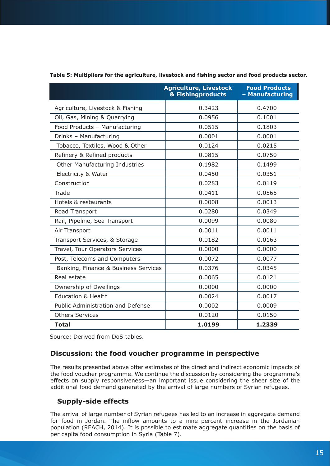|                                      | <b>Agriculture, Livestock</b><br>& Fishingproducts | <b>Food Products</b><br>- Manufacturing |
|--------------------------------------|----------------------------------------------------|-----------------------------------------|
| Agriculture, Livestock & Fishing     | 0.3423                                             | 0.4700                                  |
| Oil, Gas, Mining & Quarrying         | 0.0956                                             | 0.1001                                  |
| Food Products - Manufacturing        | 0.0515                                             | 0.1803                                  |
| Drinks - Manufacturing               | 0.0001                                             | 0.0001                                  |
| Tobacco, Textiles, Wood & Other      | 0.0124                                             | 0.0215                                  |
| Refinery & Refined products          | 0.0815                                             | 0.0750                                  |
| Other Manufacturing Industries       | 0.1982                                             | 0.1499                                  |
| Electricity & Water                  | 0.0450                                             | 0.0351                                  |
| Construction                         | 0.0283                                             | 0.0119                                  |
| Trade                                | 0.0411                                             | 0.0565                                  |
| Hotels & restaurants                 | 0.0008                                             | 0.0013                                  |
| Road Transport                       | 0.0280                                             | 0.0349                                  |
| Rail, Pipeline, Sea Transport        | 0.0099                                             | 0.0080                                  |
| Air Transport                        | 0.0011                                             | 0.0011                                  |
| Transport Services, & Storage        | 0.0182                                             | 0.0163                                  |
| Travel, Tour Operators Services      | 0.0000                                             | 0.0000                                  |
| Post, Telecoms and Computers         | 0.0072                                             | 0.0077                                  |
| Banking, Finance & Business Services | 0.0376                                             | 0.0345                                  |
| Real estate                          | 0.0065                                             | 0.0121                                  |
| Ownership of Dwellings               | 0.0000                                             | 0.0000                                  |
| <b>Education &amp; Health</b>        | 0.0024                                             | 0.0017                                  |
| Public Administration and Defense    | 0.0002                                             | 0.0009                                  |
| <b>Others Services</b>               | 0.0120                                             | 0.0150                                  |
| <b>Total</b>                         | 1.0199                                             | 1.2339                                  |

#### **Table 5: Multipliers for the agriculture, livestock and fishing sector and food products sector.**

Source: Derived from DoS tables.

### **Discussion: the food voucher programme in perspective**

The results presented above offer estimates of the direct and indirect economic impacts of the food voucher programme. We continue the discussion by considering the programme's effects on supply responsiveness—an important issue considering the sheer size of the additional food demand generated by the arrival of large numbers of Syrian refugees.

### **Supply-side effects**

The arrival of large number of Syrian refugees has led to an increase in aggregate demand for food in Jordan. The inflow amounts to a nine percent increase in the Jordanian population (REACH, 2014). It is possible to estimate aggregate quantities on the basis of per capita food consumption in Syria (Table 7).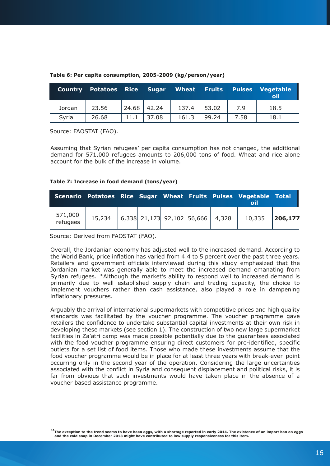| <b>Country</b> | Potatoes Rice Sugar Wheat Fruits Pulses |       |       |       |       |      | Vegetable<br>oil |
|----------------|-----------------------------------------|-------|-------|-------|-------|------|------------------|
| Jordan         | 23.56                                   | 24.68 | 42.24 | 137.4 | 53.02 | 7.9  | 18.5             |
| Syria          | 26.68                                   |       | 37.08 | 161.3 | 99.24 | 7.58 | 18.1             |

#### **Table 6: Per capita consumption, 2005-2009 (kg/person/year)**

Source: FAOSTAT (FAO).

Assuming that Syrian refugees' per capita consumption has not changed, the additional demand for 571,000 refugees amounts to 206,000 tons of food. Wheat and rice alone account for the bulk of the increase in volume.

#### **Table 7: Increase in food demand (tons/year)**

|                       |                                               |  |  | Scenario Potatoes Rice Sugar Wheat Fruits Pulses Vegetable Total |          |
|-----------------------|-----------------------------------------------|--|--|------------------------------------------------------------------|----------|
| $571,000$<br>refugees | $15,234$   6,338 21,173 92,102 56,666   4,328 |  |  | 10,335                                                           | 206, 177 |

Source: Derived from FAOSTAT (FAO).

Overall, the Jordanian economy has adjusted well to the increased demand. According to the World Bank, price inflation has varied from 4.4 to 5 percent over the past three years. Retailers and government officials interviewed during this study emphasized that the Jordanian market was generally able to meet the increased demand emanating from Syrian refugees. <sup>10</sup>Although the market's ability to respond well to increased demand is primarily due to well established supply chain and trading capacity, the choice to implement vouchers rather than cash assistance, also played a role in dampening inflationary pressures.

Arguably the arrival of international supermarkets with competitive prices and high quality standards was facilitated by the voucher programme. The voucher programme gave retailers the confidence to undertake substantial capital investments at their own risk in developing these markets (see section 1). The construction of two new large supermarket facilities in Za'atri camp was made possible potentially due to the guarantees associated with the food voucher programme ensuring direct customers for pre-identified, specific outlets for a set list of food items. Those who made these investments assume that the food voucher programme would be in place for at least three years with break-even point occurring only in the second year of the operation. Considering the large uncertainties associated with the conflict in Syria and consequent displacement and political risks, it is far from obvious that such investments would have taken place in the absence of a voucher based assistance programme.

**10The exception to the trend seems to have been eggs, with a shortage reported in early 2014. The existence of an import ban on eggs and the cold snap in December 2013 might have contributed to low supply responsiveness for this item.**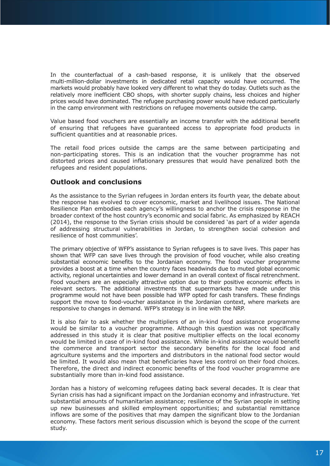In the counterfactual of a cash-based response, it is unlikely that the observed multi-million-dollar investments in dedicated retail capacity would have occurred. The markets would probably have looked very different to what they do today. Outlets such as the relatively more inefficient CBO shops, with shorter supply chains, less choices and higher prices would have dominated. The refugee purchasing power would have reduced particularly in the camp environment with restrictions on refugee movements outside the camp.

Value based food vouchers are essentially an income transfer with the additional benefit of ensuring that refugees have guaranteed access to appropriate food products in sufficient quantities and at reasonable prices.

The retail food prices outside the camps are the same between participating and non-participating stores. This is an indication that the voucher programme has not distorted prices and caused inflationary pressures that would have penalized both the refugees and resident populations.

# **Outlook and conclusions**

As the assistance to the Syrian refugees in Jordan enters its fourth year, the debate about the response has evolved to cover economic, market and livelihood issues. The National Resilience Plan embodies each agency's willingness to anchor the crisis response in the broader context of the host country's economic and social fabric. As emphasized by REACH (2014), the response to the Syrian crisis should be considered 'as part of a wider agenda of addressing structural vulnerabilities in Jordan, to strengthen social cohesion and resilience of host communities'.

The primary objective of WFP's assistance to Syrian refugees is to save lives. This paper has shown that WFP can save lives through the provision of food voucher, while also creating substantial economic benefits to the Jordanian economy. The food voucher programme provides a boost at a time when the country faces headwinds due to muted global economic activity, regional uncertainties and lower demand in an overall context of fiscal retrenchment. Food vouchers are an especially attractive option due to their positive economic effects in relevant sectors. The additional investments that supermarkets have made under this programme would not have been possible had WFP opted for cash transfers. These findings support the move to food-voucher assistance in the Jordanian context, where markets are responsive to changes in demand. WFP's strategy is in line with the NRP.

It is also fair to ask whether the multipliers of an in-kind food assistance programme would be similar to a voucher programme. Although this question was not specifically addressed in this study it is clear that positive multiplier effects on the local economy would be limited in case of in-kind food assistance. While in-kind assistance would benefit the commerce and transport sector the secondary benefits for the local food and agriculture systems and the importers and distributors in the national food sector would be limited. It would also mean that beneficiaries have less control on their food choices. Therefore, the direct and indirect economic benefits of the food voucher programme are substantially more than in-kind food assistance.

Jordan has a history of welcoming refugees dating back several decades. It is clear that Syrian crisis has had a significant impact on the Jordanian economy and infrastructure. Yet substantial amounts of humanitarian assistance; resilience of the Syrian people in setting up new businesses and skilled employment opportunities; and substantial remittance inflows are some of the positives that may dampen the significant blow to the Jordanian economy. These factors merit serious discussion which is beyond the scope of the current study.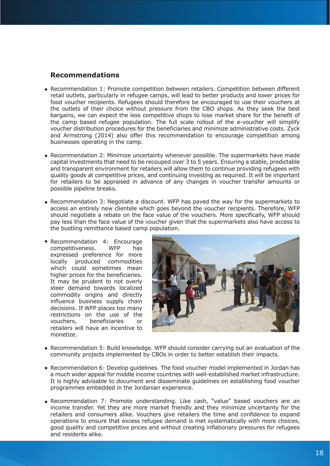# **Recommendations**

- Recommendation 1: Promote competition between retailers. Competition between different retail outlets, particularly in refugee camps, will lead to better products and lower prices for food voucher recipients. Refugees should therefore be encouraged to use their vouchers at the outlets of their choice without pressure from the CBO shops. As they seek the best bargains, we can expect the less competitive shops to lose market share for the benefit of the camp based refugee population. The full scale rollout of the e-voucher will simplify voucher distribution procedures for the beneficiaries and minimize administrative costs. Zyck and Armstrong (2014) also offer this recommendation to encourage competition among businesses operating in the camp.
- Recommendation 2: Minimize uncertainty whenever possible. The supermarkets have made capital investments that need to be recouped over 3 to 5 years. Ensuring a stable, predictable and transparent environment for retailers will allow them to continue providing refugees with quality goods at competitive prices, and continuing investing as required. It will be important for retailers to be appraised in advance of any changes in voucher transfer amounts or possible pipeline breaks.
- Recommendation 3: Negotiate a discount. WFP has paved the way for the supermarkets to access an entirely new clientele which goes beyond the voucher recipients. Therefore, WFP should negotiate a rebate on the face value of the vouchers. More specifically, WFP should pay less than the face value of the voucher given that the supermarkets also have access to the bustling remittance based camp population.
- Recommendation 4: Encourage competitiveness. WFP has expressed preference for more locally produced commodities which could sometimes mean higher prices for the beneficiaries. It may be prudent to not overly steer demand towards localized commodity origins and directly influence business supply chain decisions. If WFP places too many restrictions on the use of the vouchers, beneficiaries or retailers will have an incentive to monetize.



- Recommendation 5: Build knowledge. WFP should consider carrying out an evaluation of the community projects implemented by CBOs in order to better establish their impacts.
- Recommendation 6: Develop guidelines. The food voucher model implemented in Jordan has a much wider appeal for middle income countries with well-established market infrastructure. It is highly advisable to document and disseminate guidelines on establishing food voucher programmes embedded in the Jordanian experience.
- Recommendation 7: Promote understanding. Like cash, "value" based vouchers are an income transfer. Yet they are more market friendly and they minimize uncertainty for the retailers and consumers alike. Vouchers give retailers the time and confidence to expand operations to ensure that excess refugee demand is met systematically with more choices, good quality and competitive prices and without creating inflationary pressures for refugees and residents alike.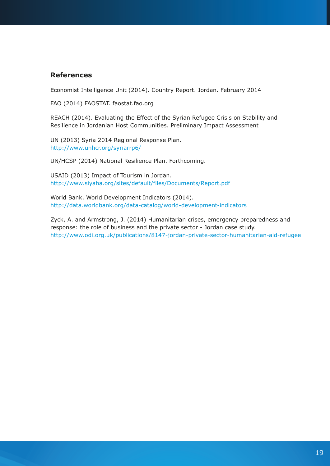# **References**

Economist Intelligence Unit (2014). Country Report. Jordan. February 2014

FAO (2014) FAOSTAT. faostat.fao.org

REACH (2014). Evaluating the Effect of the Syrian Refugee Crisis on Stability and Resilience in Jordanian Host Communities. Preliminary Impact Assessment

UN (2013) Syria 2014 Regional Response Plan. http://www.unhcr.org/syriarrp6/

UN/HCSP (2014) National Resilience Plan. Forthcoming.

USAID (2013) Impact of Tourism in Jordan. http://www.siyaha.org/sites/default/files/Documents/Report.pdf

World Bank. World Development Indicators (2014). http://data.worldbank.org/data-catalog/world-development-indicators

Zyck, A. and Armstrong, J. (2014) Humanitarian crises, emergency preparedness and response: the role of business and the private sector - Jordan case study. http://www.odi.org.uk/publications/8147-jordan-private-sector-humanitarian-aid-refugee